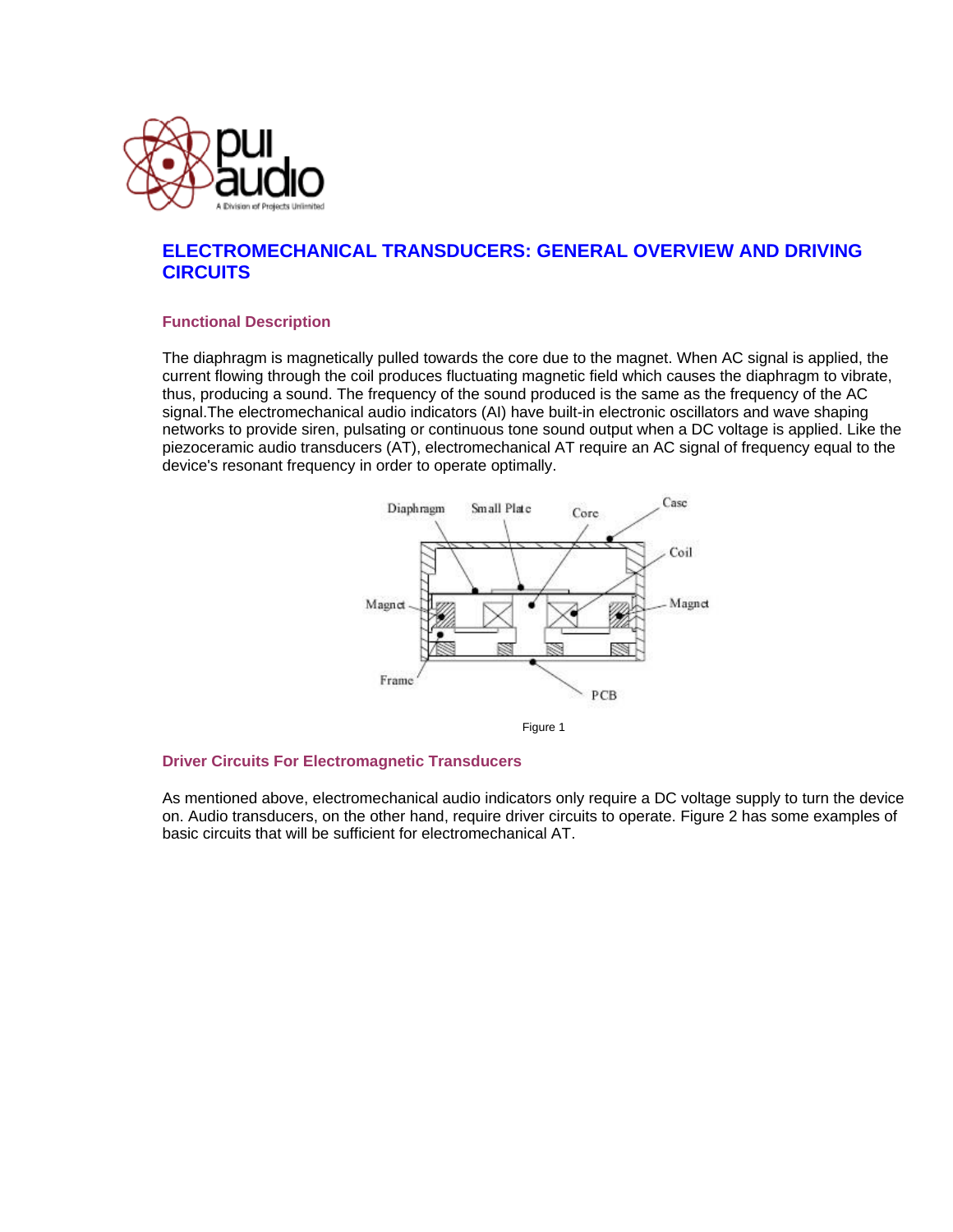

## **ELECTROMECHANICAL TRANSDUCERS: GENERAL OVERVIEW AND DRIVING CIRCUITS**

## **Functional Description**

The diaphragm is magnetically pulled towards the core due to the magnet. When AC signal is applied, the current flowing through the coil produces fluctuating magnetic field which causes the diaphragm to vibrate, thus, producing a sound. The frequency of the sound produced is the same as the frequency of the AC signal.The electromechanical audio indicators (AI) have built-in electronic oscillators and wave shaping networks to provide siren, pulsating or continuous tone sound output when a DC voltage is applied. Like the piezoceramic audio transducers (AT), electromechanical AT require an AC signal of frequency equal to the device's resonant frequency in order to operate optimally.



Figure 1

## **Driver Circuits For Electromagnetic Transducers**

As mentioned above, electromechanical audio indicators only require a DC voltage supply to turn the device on. Audio transducers, on the other hand, require driver circuits to operate. Figure 2 has some examples of basic circuits that will be sufficient for electromechanical AT.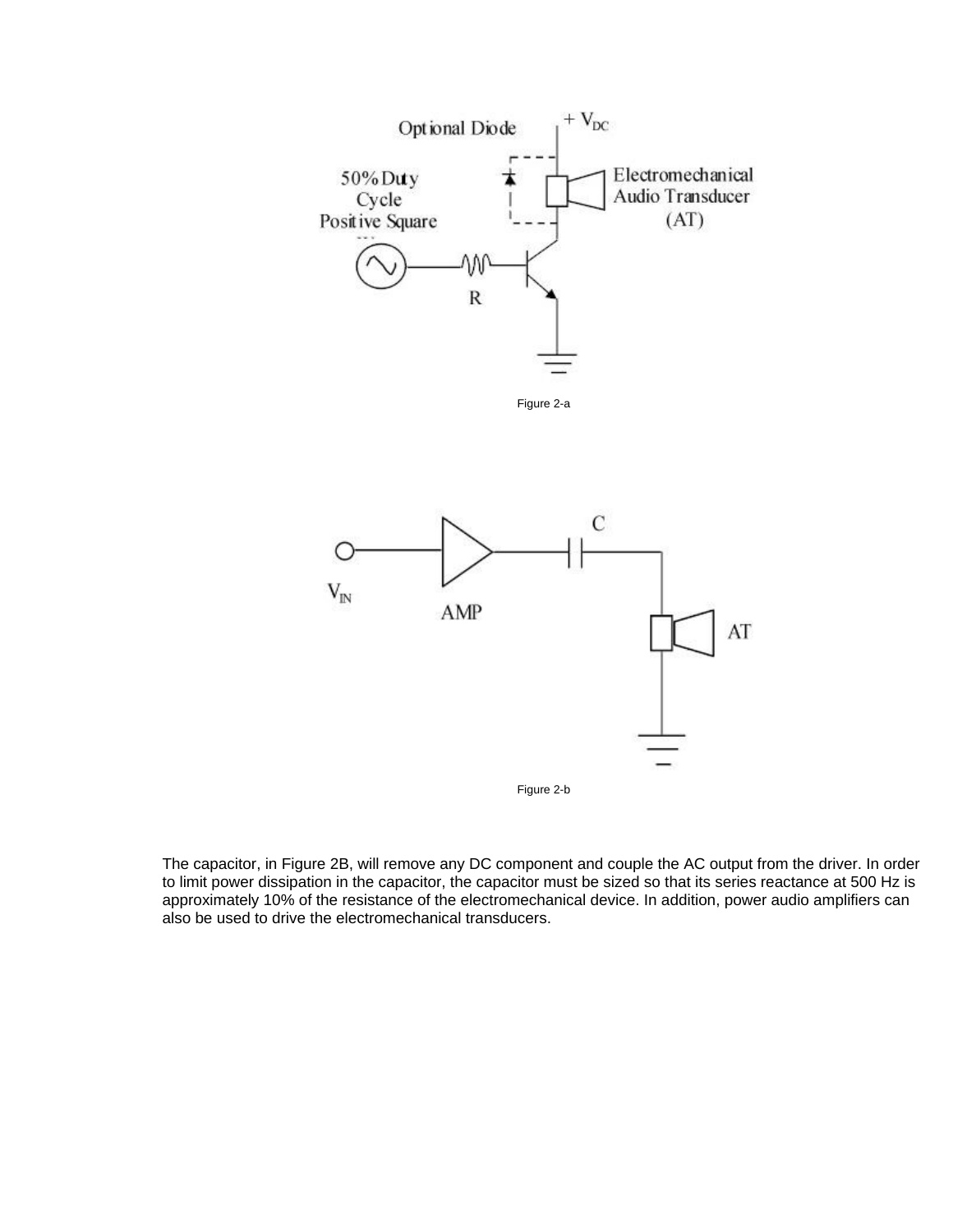



Figure 2-b

The capacitor, in Figure 2B, will remove any DC component and couple the AC output from the driver. In order to limit power dissipation in the capacitor, the capacitor must be sized so that its series reactance at 500 Hz is approximately 10% of the resistance of the electromechanical device. In addition, power audio amplifiers can also be used to drive the electromechanical transducers.